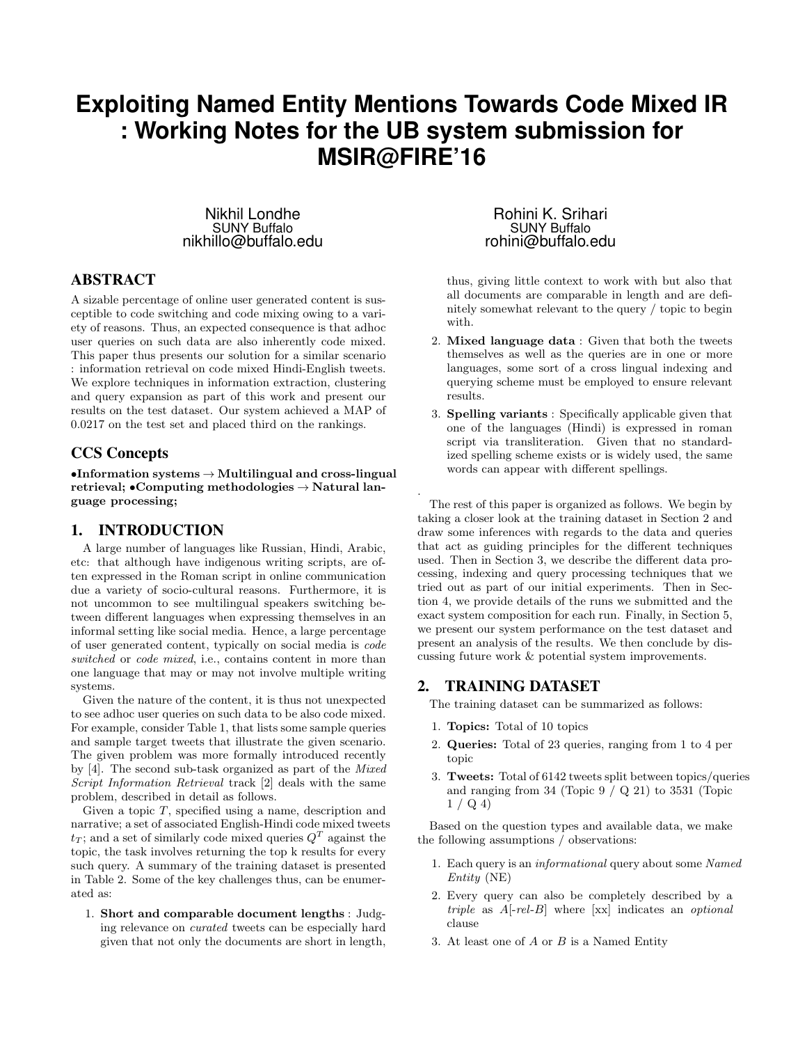# **Exploiting Named Entity Mentions Towards Code Mixed IR : Working Notes for the UB system submission for MSIR@FIRE'16**

.

Nikhil Londhe SUNY Buffalo nikhillo@buffalo.edu

# ABSTRACT

A sizable percentage of online user generated content is susceptible to code switching and code mixing owing to a variety of reasons. Thus, an expected consequence is that adhoc user queries on such data are also inherently code mixed. This paper thus presents our solution for a similar scenario : information retrieval on code mixed Hindi-English tweets. We explore techniques in information extraction, clustering and query expansion as part of this work and present our results on the test dataset. Our system achieved a MAP of 0.0217 on the test set and placed third on the rankings.

## CCS Concepts

•Information systems  $\rightarrow$  Multilingual and cross-lingual retrieval; •Computing methodologies  $\rightarrow$  Natural language processing;

### 1. INTRODUCTION

A large number of languages like Russian, Hindi, Arabic, etc: that although have indigenous writing scripts, are often expressed in the Roman script in online communication due a variety of socio-cultural reasons. Furthermore, it is not uncommon to see multilingual speakers switching between different languages when expressing themselves in an informal setting like social media. Hence, a large percentage of user generated content, typically on social media is code switched or code mixed, i.e., contains content in more than one language that may or may not involve multiple writing systems.

Given the nature of the content, it is thus not unexpected to see adhoc user queries on such data to be also code mixed. For example, consider Table 1, that lists some sample queries and sample target tweets that illustrate the given scenario. The given problem was more formally introduced recently by [4]. The second sub-task organized as part of the Mixed Script Information Retrieval track [2] deals with the same problem, described in detail as follows.

Given a topic  $T$ , specified using a name, description and narrative; a set of associated English-Hindi code mixed tweets  $t_T$ ; and a set of similarly code mixed queries  $Q^T$  against the topic, the task involves returning the top k results for every such query. A summary of the training dataset is presented in Table 2. Some of the key challenges thus, can be enumerated as:

1. Short and comparable document lengths : Judging relevance on curated tweets can be especially hard given that not only the documents are short in length,

Rohini K. Srihari SUNY Buffalo rohini@buffalo.edu

thus, giving little context to work with but also that all documents are comparable in length and are definitely somewhat relevant to the query / topic to begin with.

- 2. Mixed language data : Given that both the tweets themselves as well as the queries are in one or more languages, some sort of a cross lingual indexing and querying scheme must be employed to ensure relevant results.
- 3. Spelling variants : Specifically applicable given that one of the languages (Hindi) is expressed in roman script via transliteration. Given that no standardized spelling scheme exists or is widely used, the same words can appear with different spellings.

The rest of this paper is organized as follows. We begin by taking a closer look at the training dataset in Section 2 and draw some inferences with regards to the data and queries that act as guiding principles for the different techniques used. Then in Section 3, we describe the different data processing, indexing and query processing techniques that we tried out as part of our initial experiments. Then in Section 4, we provide details of the runs we submitted and the exact system composition for each run. Finally, in Section 5, we present our system performance on the test dataset and present an analysis of the results. We then conclude by discussing future work & potential system improvements.

### 2. TRAINING DATASET

The training dataset can be summarized as follows:

- 1. Topics: Total of 10 topics
- 2. Queries: Total of 23 queries, ranging from 1 to 4 per topic
- 3. Tweets: Total of 6142 tweets split between topics/queries and ranging from  $34$  (Topic  $9 / Q$  21) to  $3531$  (Topic  $1 / Q 4$

Based on the question types and available data, we make the following assumptions / observations:

- 1. Each query is an informational query about some Named Entity (NE)
- 2. Every query can also be completely described by a triple as  $A[-rel-B]$  where  $[xx]$  indicates an *optional* clause
- 3. At least one of  $A$  or  $B$  is a Named Entity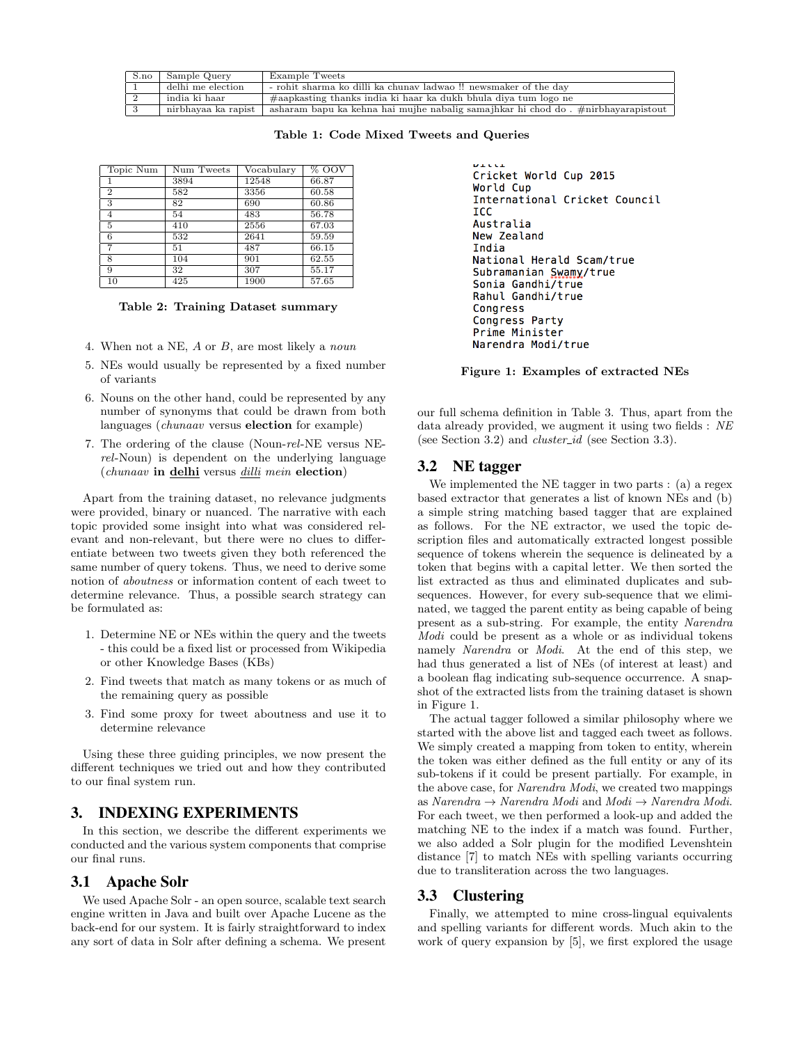| S.no | Sample Query        | Example Tweets                                                                    |
|------|---------------------|-----------------------------------------------------------------------------------|
|      | delhi me election   | - rohit sharma ko dilli ka chunav ladwao !! newsmaker of the day                  |
|      | india ki haar       | #aapkasting thanks india ki haar ka dukh bhula diya tum logo ne                   |
|      | nirbhavaa ka rapist | asharam bapu ka kehna hai mujhe nabalig samajhkar hi chod do . #nirbhayarapistout |

Table 1: Code Mixed Tweets and Queries

| Topic Num               | Num Tweets       | Vocabulary | % OOV |
|-------------------------|------------------|------------|-------|
|                         | 3894             | 12548      | 66.87 |
| $\overline{2}$          | 582              | 3356       | 60.58 |
| 3                       | 82               | 690        | 60.86 |
| 4                       | 54               | 483        | 56.78 |
| $\overline{5}$          | $\overline{410}$ | 2556       | 67.03 |
| 6                       | 532              | 2641       | 59.59 |
| 7                       | 51               | 487        | 66.15 |
| $\overline{\mathbf{x}}$ | 104              | 901        | 62.55 |
| 9                       | 32               | 307        | 55.17 |
| 10                      | 425              | 1900       | 57.65 |

Table 2: Training Dataset summary

- 4. When not a NE, A or B, are most likely a noun
- 5. NEs would usually be represented by a fixed number of variants
- 6. Nouns on the other hand, could be represented by any number of synonyms that could be drawn from both languages (chunaav versus election for example)
- 7. The ordering of the clause (Noun-rel-NE versus NErel-Noun) is dependent on the underlying language (chunaav in delhi versus dilli mein election)

Apart from the training dataset, no relevance judgments were provided, binary or nuanced. The narrative with each topic provided some insight into what was considered relevant and non-relevant, but there were no clues to differentiate between two tweets given they both referenced the same number of query tokens. Thus, we need to derive some notion of aboutness or information content of each tweet to determine relevance. Thus, a possible search strategy can be formulated as:

- 1. Determine NE or NEs within the query and the tweets - this could be a fixed list or processed from Wikipedia or other Knowledge Bases (KBs)
- 2. Find tweets that match as many tokens or as much of the remaining query as possible
- 3. Find some proxy for tweet aboutness and use it to determine relevance

Using these three guiding principles, we now present the different techniques we tried out and how they contributed to our final system run.

### 3. INDEXING EXPERIMENTS

In this section, we describe the different experiments we conducted and the various system components that comprise our final runs.

### 3.1 Apache Solr

We used Apache Solr - an open source, scalable text search engine written in Java and built over Apache Lucene as the back-end for our system. It is fairly straightforward to index any sort of data in Solr after defining a schema. We present

```
Cricket World Cup 2015
World Cup
International Cricket Council
ICC
Australia
New Zealand
India
National Herald Scam/true
Subramanian Swamy/true
Sonia Gandhi/true
Rahul Gandhi/true
Congress
Congress Party
Prime Minister
Narendra Modi/true
```
Figure 1: Examples of extracted NEs

our full schema definition in Table 3. Thus, apart from the data already provided, we augment it using two fields : NE (see Section 3.2) and *cluster\_id* (see Section 3.3).

### 3.2 NE tagger

We implemented the NE tagger in two parts : (a) a regex based extractor that generates a list of known NEs and (b) a simple string matching based tagger that are explained as follows. For the NE extractor, we used the topic description files and automatically extracted longest possible sequence of tokens wherein the sequence is delineated by a token that begins with a capital letter. We then sorted the list extracted as thus and eliminated duplicates and subsequences. However, for every sub-sequence that we eliminated, we tagged the parent entity as being capable of being present as a sub-string. For example, the entity Narendra Modi could be present as a whole or as individual tokens namely Narendra or Modi. At the end of this step, we had thus generated a list of NEs (of interest at least) and a boolean flag indicating sub-sequence occurrence. A snapshot of the extracted lists from the training dataset is shown in Figure 1.

The actual tagger followed a similar philosophy where we started with the above list and tagged each tweet as follows. We simply created a mapping from token to entity, wherein the token was either defined as the full entity or any of its sub-tokens if it could be present partially. For example, in the above case, for Narendra Modi, we created two mappings as Narendra → Narendra Modi and Modi → Narendra Modi. For each tweet, we then performed a look-up and added the matching NE to the index if a match was found. Further, we also added a Solr plugin for the modified Levenshtein distance [7] to match NEs with spelling variants occurring due to transliteration across the two languages.

### 3.3 Clustering

Finally, we attempted to mine cross-lingual equivalents and spelling variants for different words. Much akin to the work of query expansion by [5], we first explored the usage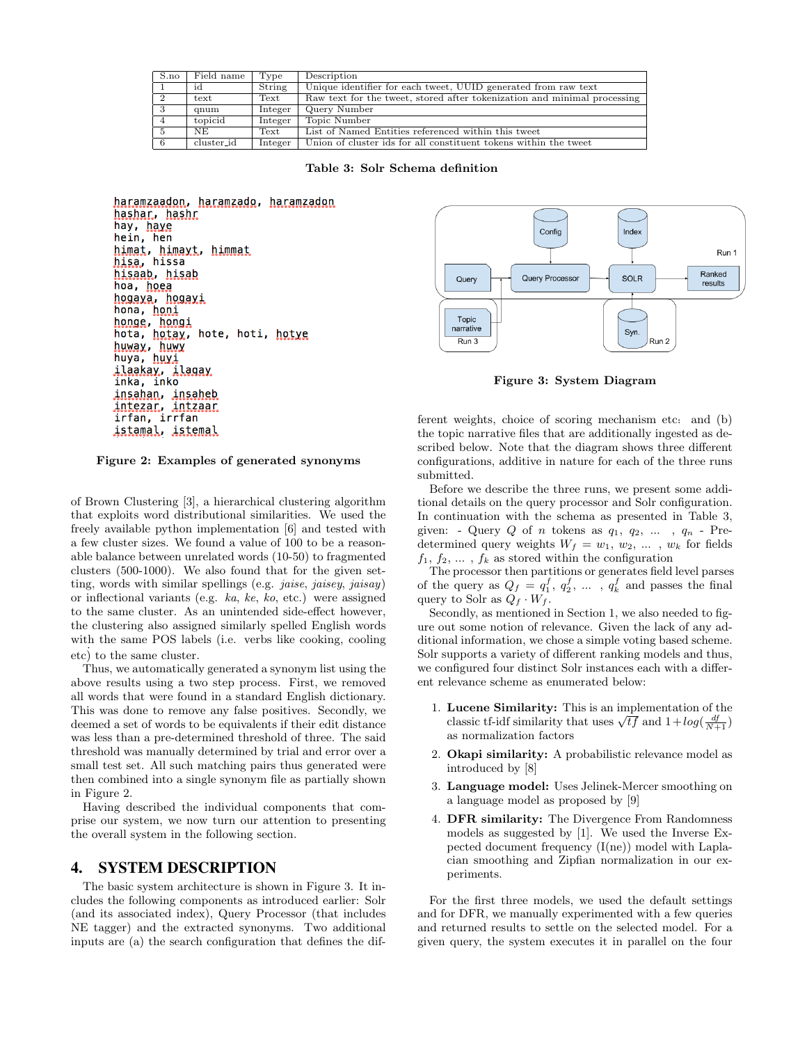|                | S.no | Field name | Type    | Description                                                              |
|----------------|------|------------|---------|--------------------------------------------------------------------------|
|                |      | id         | String  | Unique identifier for each tweet, UUID generated from raw text           |
| $\overline{2}$ |      | text       | Text    | Raw text for the tweet, stored after tokenization and minimal processing |
| - 3            |      | qnum       | Integer | Query Number                                                             |
| $\overline{4}$ |      | topicid    | Integer | Topic Number                                                             |
|                |      | NE.        | Text    | List of Named Entities referenced within this tweet                      |
| -6             |      | cluster_id | Integer | Union of cluster ids for all constituent tokens within the tweet         |

Table 3: Solr Schema definition



Figure 2: Examples of generated synonyms

of Brown Clustering [3], a hierarchical clustering algorithm that exploits word distributional similarities. We used the freely available python implementation [6] and tested with a few cluster sizes. We found a value of 100 to be a reasonable balance between unrelated words (10-50) to fragmented clusters (500-1000). We also found that for the given setting, words with similar spellings (e.g. *jaise, jaisey, jaisay*) or inflectional variants (e.g. ka, ke, ko, etc.) were assigned to the same cluster. As an unintended side-effect however, the clustering also assigned similarly spelled English words with the same POS labels (i.e. verbs like cooking, cooling etc) to the same cluster.

Thus, we automatically generated a synonym list using the above results using a two step process. First, we removed all words that were found in a standard English dictionary. This was done to remove any false positives. Secondly, we deemed a set of words to be equivalents if their edit distance was less than a pre-determined threshold of three. The said threshold was manually determined by trial and error over a small test set. All such matching pairs thus generated were then combined into a single synonym file as partially shown in Figure 2.

Having described the individual components that comprise our system, we now turn our attention to presenting the overall system in the following section.

#### 4. SYSTEM DESCRIPTION

The basic system architecture is shown in Figure 3. It includes the following components as introduced earlier: Solr (and its associated index), Query Processor (that includes NE tagger) and the extracted synonyms. Two additional inputs are (a) the search configuration that defines the dif-



Figure 3: System Diagram

ferent weights, choice of scoring mechanism etc: and (b) the topic narrative files that are additionally ingested as described below. Note that the diagram shows three different configurations, additive in nature for each of the three runs submitted.

Before we describe the three runs, we present some additional details on the query processor and Solr configuration. In continuation with the schema as presented in Table 3, given: - Query  $Q$  of n tokens as  $q_1, q_2, \ldots, q_n$  - Predetermined query weights  $W_f = w_1, w_2, \dots, w_k$  for fields  $f_1, f_2, \ldots, f_k$  as stored within the configuration

The processor then partitions or generates field level parses of the query as  $Q_f = q_1^f, q_2^f, \dots, q_k^f$  and passes the final query to Solr as  $Q_f \cdot W_f$ .

Secondly, as mentioned in Section 1, we also needed to figure out some notion of relevance. Given the lack of any additional information, we chose a simple voting based scheme. Solr supports a variety of different ranking models and thus, we configured four distinct Solr instances each with a different relevance scheme as enumerated below:

- 1. Lucene Similarity: This is an implementation of the **Classic tf-idf similarity that uses**  $\sqrt{tf}$  and  $1+log(\frac{df}{N+1})$ as normalization factors
- 2. Okapi similarity: A probabilistic relevance model as introduced by [8]
- 3. Language model: Uses Jelinek-Mercer smoothing on a language model as proposed by [9]
- 4. DFR similarity: The Divergence From Randomness models as suggested by [1]. We used the Inverse Expected document frequency (I(ne)) model with Laplacian smoothing and Zipfian normalization in our experiments.

For the first three models, we used the default settings and for DFR, we manually experimented with a few queries and returned results to settle on the selected model. For a given query, the system executes it in parallel on the four